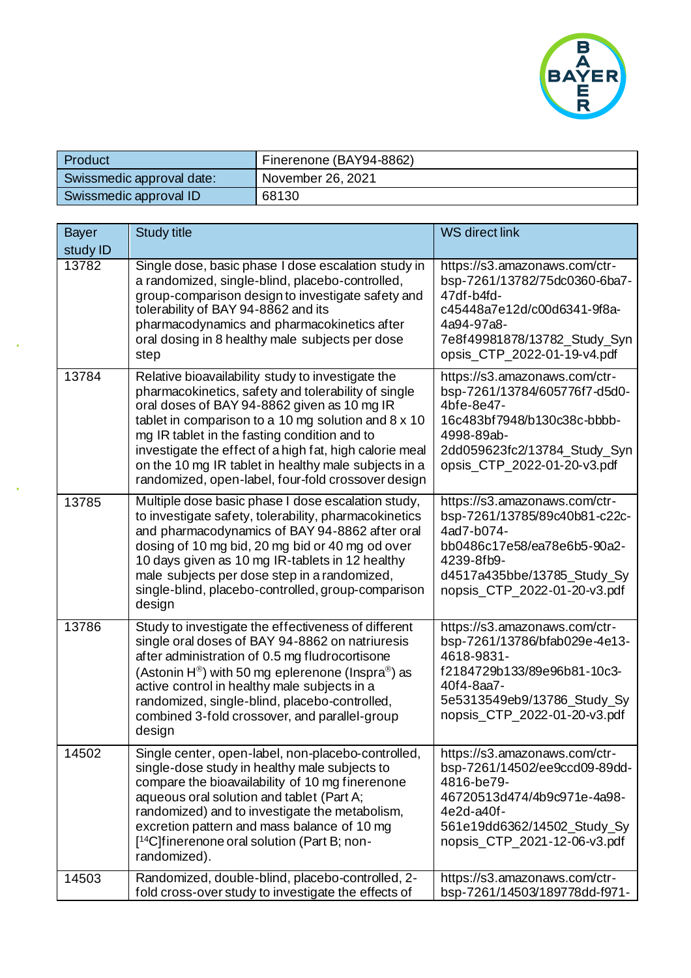

| Product                   | Finerenone (BAY94-8862) |
|---------------------------|-------------------------|
| Swissmedic approval date: | November 26, 2021       |
| Swissmedic approval ID    | 68130                   |

| <b>Bayer</b> | <b>Study title</b>                                                                                                                                                                                                                                                                                                                                                                                                                      | <b>WS direct link</b>                                                                                                                                                                    |
|--------------|-----------------------------------------------------------------------------------------------------------------------------------------------------------------------------------------------------------------------------------------------------------------------------------------------------------------------------------------------------------------------------------------------------------------------------------------|------------------------------------------------------------------------------------------------------------------------------------------------------------------------------------------|
| study ID     |                                                                                                                                                                                                                                                                                                                                                                                                                                         |                                                                                                                                                                                          |
| 13782        | Single dose, basic phase I dose escalation study in<br>a randomized, single-blind, placebo-controlled,<br>group-comparison design to investigate safety and<br>tolerability of BAY 94-8862 and its<br>pharmacodynamics and pharmacokinetics after<br>oral dosing in 8 healthy male subjects per dose<br>step                                                                                                                            | https://s3.amazonaws.com/ctr-<br>bsp-7261/13782/75dc0360-6ba7-<br>47df-b4fd-<br>c45448a7e12d/c00d6341-9f8a-<br>4a94-97a8-<br>7e8f49981878/13782_Study_Syn<br>opsis_CTP_2022-01-19-v4.pdf |
| 13784        | Relative bioavailability study to investigate the<br>pharmacokinetics, safety and tolerability of single<br>oral doses of BAY 94-8862 given as 10 mg IR<br>tablet in comparison to a 10 mg solution and 8 x 10<br>mg IR tablet in the fasting condition and to<br>investigate the effect of a high fat, high calorie meal<br>on the 10 mg IR tablet in healthy male subjects in a<br>randomized, open-label, four-fold crossover design | https://s3.amazonaws.com/ctr-<br>bsp-7261/13784/605776f7-d5d0-<br>4bfe-8e47-<br>16c483bf7948/b130c38c-bbbb-<br>4998-89ab-<br>2dd059623fc2/13784_Study_Syn<br>opsis_CTP_2022-01-20-v3.pdf |
| 13785        | Multiple dose basic phase I dose escalation study,<br>to investigate safety, tolerability, pharmacokinetics<br>and pharmacodynamics of BAY 94-8862 after oral<br>dosing of 10 mg bid, 20 mg bid or 40 mg od over<br>10 days given as 10 mg IR-tablets in 12 healthy<br>male subjects per dose step in a randomized,<br>single-blind, placebo-controlled, group-comparison<br>design                                                     | https://s3.amazonaws.com/ctr-<br>bsp-7261/13785/89c40b81-c22c-<br>4ad7-b074-<br>bb0486c17e58/ea78e6b5-90a2-<br>4239-8fb9-<br>d4517a435bbe/13785_Study_Sy<br>nopsis_CTP_2022-01-20-v3.pdf |
| 13786        | Study to investigate the effectiveness of different<br>single oral doses of BAY 94-8862 on natriuresis<br>after administration of 0.5 mg fludrocortisone<br>(Astonin $H^{\circledast}$ ) with 50 mg eplerenone (Inspra $^{\circledast}$ ) as<br>active control in healthy male subjects in a<br>randomized, single-blind, placebo-controlled,<br>combined 3-fold crossover, and parallel-group<br>design                                | https://s3.amazonaws.com/ctr-<br>bsp-7261/13786/bfab029e-4e13-<br>4618-9831-<br>f2184729b133/89e96b81-10c3-<br>40f4-8aa7-<br>5e5313549eb9/13786_Study_Sy<br>nopsis_CTP_2022-01-20-v3.pdf |
| 14502        | Single center, open-label, non-placebo-controlled,<br>single-dose study in healthy male subjects to<br>compare the bioavailability of 10 mg finerenone<br>aqueous oral solution and tablet (Part A;<br>randomized) and to investigate the metabolism,<br>excretion pattern and mass balance of 10 mg<br>[ <sup>14</sup> C]finerenone oral solution (Part B; non-<br>randomized).                                                        | https://s3.amazonaws.com/ctr-<br>bsp-7261/14502/ee9ccd09-89dd-<br>4816-be79-<br>46720513d474/4b9c971e-4a98-<br>4e2d-a40f-<br>561e19dd6362/14502_Study_Sy<br>nopsis_CTP_2021-12-06-v3.pdf |
| 14503        | Randomized, double-blind, placebo-controlled, 2-<br>fold cross-over study to investigate the effects of                                                                                                                                                                                                                                                                                                                                 | https://s3.amazonaws.com/ctr-<br>bsp-7261/14503/189778dd-f971-                                                                                                                           |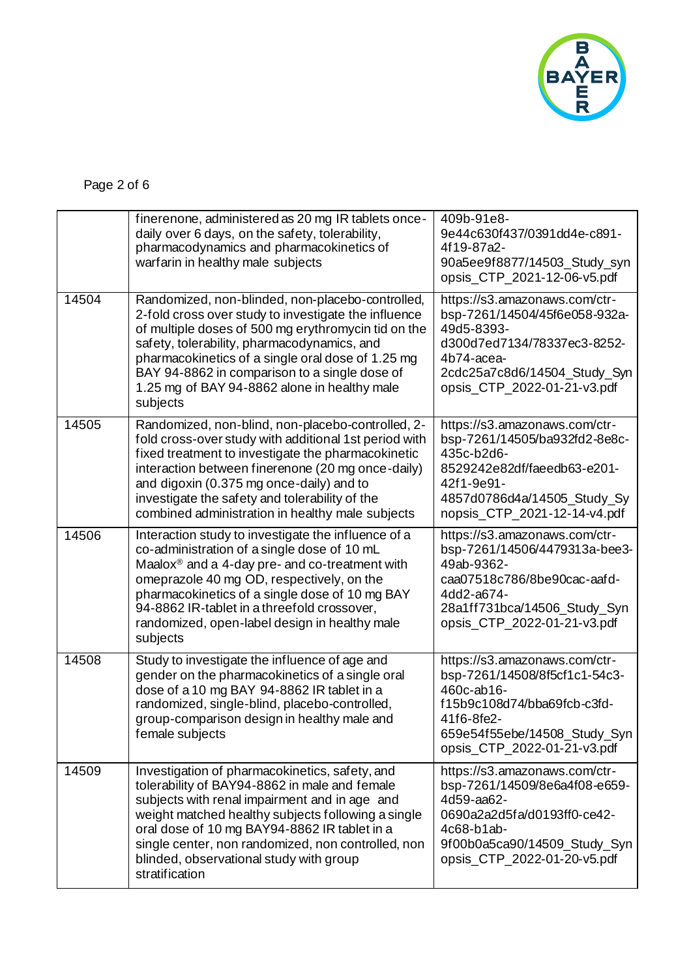

Page 2 of 6

|       | finerenone, administered as 20 mg IR tablets once-<br>daily over 6 days, on the safety, tolerability,<br>pharmacodynamics and pharmacokinetics of<br>warfarin in healthy male subjects                                                                                                                                                                                           | 409b-91e8-<br>9e44c630f437/0391dd4e-c891-<br>4f19-87a2-<br>90a5ee9f8877/14503_Study_syn<br>opsis_CTP_2021-12-06-v5.pdf                                                                   |
|-------|----------------------------------------------------------------------------------------------------------------------------------------------------------------------------------------------------------------------------------------------------------------------------------------------------------------------------------------------------------------------------------|------------------------------------------------------------------------------------------------------------------------------------------------------------------------------------------|
| 14504 | Randomized, non-blinded, non-placebo-controlled,<br>2-fold cross over study to investigate the influence<br>of multiple doses of 500 mg erythromycin tid on the<br>safety, tolerability, pharmacodynamics, and<br>pharmacokinetics of a single oral dose of 1.25 mg<br>BAY 94-8862 in comparison to a single dose of<br>1.25 mg of BAY 94-8862 alone in healthy male<br>subjects | https://s3.amazonaws.com/ctr-<br>bsp-7261/14504/45f6e058-932a-<br>49d5-8393-<br>d300d7ed7134/78337ec3-8252-<br>4b74-acea-<br>2cdc25a7c8d6/14504_Study_Syn<br>opsis_CTP_2022-01-21-v3.pdf |
| 14505 | Randomized, non-blind, non-placebo-controlled, 2-<br>fold cross-over study with additional 1st period with<br>fixed treatment to investigate the pharmacokinetic<br>interaction between finerenone (20 mg once-daily)<br>and digoxin (0.375 mg once-daily) and to<br>investigate the safety and tolerability of the<br>combined administration in healthy male subjects          | https://s3.amazonaws.com/ctr-<br>bsp-7261/14505/ba932fd2-8e8c-<br>435c-b2d6-<br>8529242e82df/faeedb63-e201-<br>42f1-9e91-<br>4857d0786d4a/14505_Study_Sy<br>nopsis_CTP_2021-12-14-v4.pdf |
| 14506 | Interaction study to investigate the influence of a<br>co-administration of a single dose of 10 mL<br>Maalox <sup>®</sup> and a 4-day pre- and co-treatment with<br>omeprazole 40 mg OD, respectively, on the<br>pharmacokinetics of a single dose of 10 mg BAY<br>94-8862 IR-tablet in a threefold crossover,<br>randomized, open-label design in healthy male<br>subjects      | https://s3.amazonaws.com/ctr-<br>bsp-7261/14506/4479313a-bee3-<br>49ab-9362-<br>caa07518c786/8be90cac-aafd-<br>4dd2-a674-<br>28a1ff731bca/14506_Study_Syn<br>opsis_CTP_2022-01-21-v3.pdf |
| 14508 | Study to investigate the influence of age and<br>gender on the pharmacokinetics of a single oral<br>dose of a 10 mg BAY 94-8862 IR tablet in a<br>randomized, single-blind, placebo-controlled,<br>group-comparison design in healthy male and<br>female subjects                                                                                                                | https://s3.amazonaws.com/ctr-<br>bsp-7261/14508/8f5cf1c1-54c3-<br>460c-ab16-<br>f15b9c108d74/bba69fcb-c3fd-<br>41f6-8fe2-<br>659e54f55ebe/14508_Study_Syn<br>opsis_CTP_2022-01-21-v3.pdf |
| 14509 | Investigation of pharmacokinetics, safety, and<br>tolerability of BAY94-8862 in male and female<br>subjects with renal impairment and in age and<br>weight matched healthy subjects following a single<br>oral dose of 10 mg BAY94-8862 IR tablet in a<br>single center, non randomized, non controlled, non<br>blinded, observational study with group<br>stratification        | https://s3.amazonaws.com/ctr-<br>bsp-7261/14509/8e6a4f08-e659-<br>4d59-aa62-<br>0690a2a2d5fa/d0193ff0-ce42-<br>4c68-b1ab-<br>9f00b0a5ca90/14509_Study_Syn<br>opsis_CTP_2022-01-20-v5.pdf |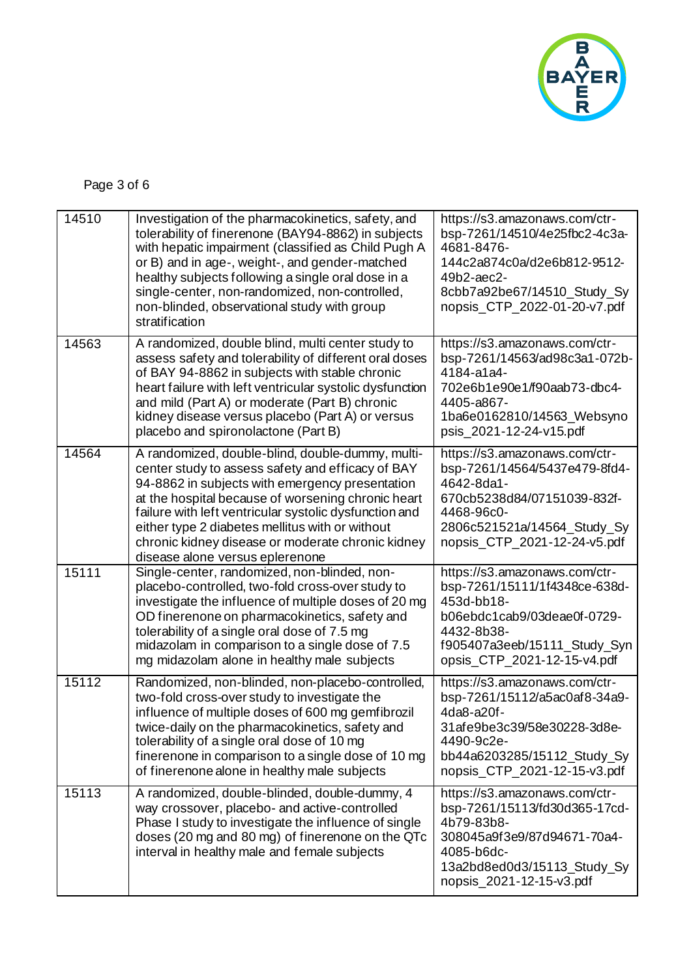

Page 3 of 6

| 14510 | Investigation of the pharmacokinetics, safety, and<br>tolerability of finerenone (BAY94-8862) in subjects<br>with hepatic impairment (classified as Child Pugh A<br>or B) and in age-, weight-, and gender-matched<br>healthy subjects following a single oral dose in a<br>single-center, non-randomized, non-controlled,<br>non-blinded, observational study with group<br>stratification                         | https://s3.amazonaws.com/ctr-<br>bsp-7261/14510/4e25fbc2-4c3a-<br>4681-8476-<br>144c2a874c0a/d2e6b812-9512-<br>49b2-aec2-<br>8cbb7a92be67/14510_Study_Sy<br>nopsis_CTP_2022-01-20-v7.pdf |
|-------|---------------------------------------------------------------------------------------------------------------------------------------------------------------------------------------------------------------------------------------------------------------------------------------------------------------------------------------------------------------------------------------------------------------------|------------------------------------------------------------------------------------------------------------------------------------------------------------------------------------------|
| 14563 | A randomized, double blind, multi center study to<br>assess safety and tolerability of different oral doses<br>of BAY 94-8862 in subjects with stable chronic<br>heart failure with left ventricular systolic dysfunction<br>and mild (Part A) or moderate (Part B) chronic<br>kidney disease versus placebo (Part A) or versus<br>placebo and spironolactone (Part B)                                              | https://s3.amazonaws.com/ctr-<br>bsp-7261/14563/ad98c3a1-072b-<br>4184-a1a4-<br>702e6b1e90e1/f90aab73-dbc4-<br>4405-a867-<br>1ba6e0162810/14563_Websyno<br>psis_2021-12-24-v15.pdf       |
| 14564 | A randomized, double-blind, double-dummy, multi-<br>center study to assess safety and efficacy of BAY<br>94-8862 in subjects with emergency presentation<br>at the hospital because of worsening chronic heart<br>failure with left ventricular systolic dysfunction and<br>either type 2 diabetes mellitus with or without<br>chronic kidney disease or moderate chronic kidney<br>disease alone versus eplerenone | https://s3.amazonaws.com/ctr-<br>bsp-7261/14564/5437e479-8fd4-<br>4642-8da1-<br>670cb5238d84/07151039-832f-<br>4468-96c0-<br>2806c521521a/14564_Study_Sy<br>nopsis_CTP_2021-12-24-v5.pdf |
| 15111 | Single-center, randomized, non-blinded, non-<br>placebo-controlled, two-fold cross-over study to<br>investigate the influence of multiple doses of 20 mg<br>OD finerenone on pharmacokinetics, safety and<br>tolerability of a single oral dose of 7.5 mg<br>midazolam in comparison to a single dose of 7.5<br>mg midazolam alone in healthy male subjects                                                         | https://s3.amazonaws.com/ctr-<br>bsp-7261/15111/1f4348ce-638d-<br>453d-bb18-<br>b06ebdc1cab9/03deae0f-0729-<br>4432-8b38-<br>f905407a3eeb/15111_Study_Syn<br>opsis_CTP_2021-12-15-v4.pdf |
| 15112 | Randomized, non-blinded, non-placebo-controlled,<br>two-fold cross-over study to investigate the<br>influence of multiple doses of 600 mg gemfibrozil<br>twice-daily on the pharmacokinetics, safety and<br>tolerability of a single oral dose of 10 mg<br>finerenone in comparison to a single dose of 10 mg<br>of finerenone alone in healthy male subjects                                                       | https://s3.amazonaws.com/ctr-<br>bsp-7261/15112/a5ac0af8-34a9-<br>4da8-a20f-<br>31afe9be3c39/58e30228-3d8e-<br>4490-9c2e-<br>bb44a6203285/15112_Study_Sy<br>nopsis_CTP_2021-12-15-v3.pdf |
| 15113 | A randomized, double-blinded, double-dummy, 4<br>way crossover, placebo- and active-controlled<br>Phase I study to investigate the influence of single<br>doses (20 mg and 80 mg) of finerenone on the QTc<br>interval in healthy male and female subjects                                                                                                                                                          | https://s3.amazonaws.com/ctr-<br>bsp-7261/15113/fd30d365-17cd-<br>4b79-83b8-<br>308045a9f3e9/87d94671-70a4-<br>4085-b6dc-<br>13a2bd8ed0d3/15113_Study_Sy<br>nopsis_2021-12-15-v3.pdf     |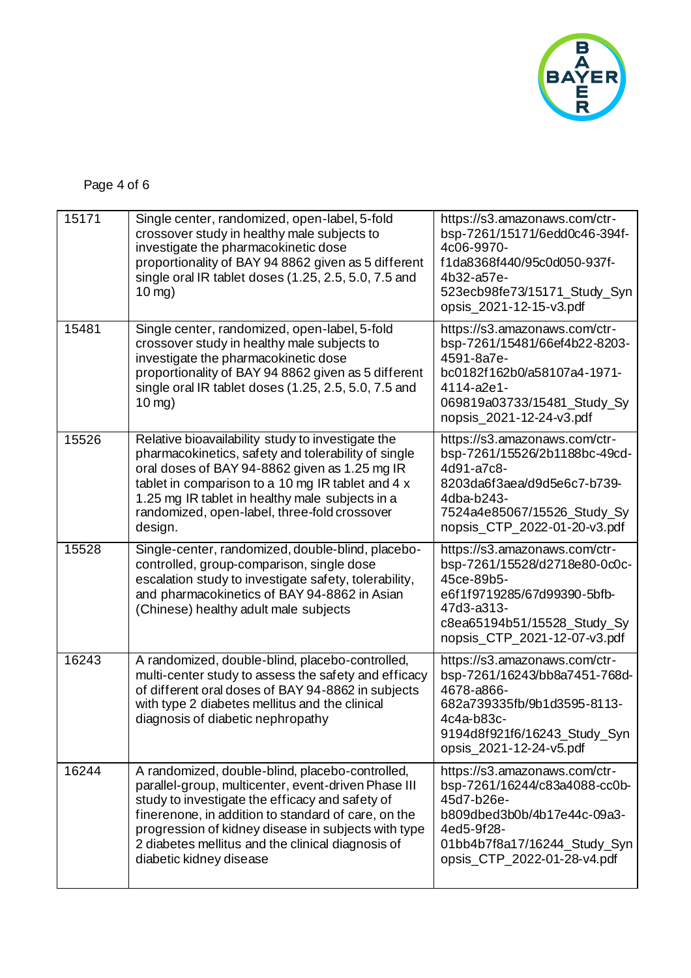

Page 4 of 6

| 15171 | Single center, randomized, open-label, 5-fold<br>crossover study in healthy male subjects to<br>investigate the pharmacokinetic dose<br>proportionality of BAY 94 8862 given as 5 different<br>single oral IR tablet doses (1.25, 2.5, 5.0, 7.5 and<br>$10$ mg)                                                                                         | https://s3.amazonaws.com/ctr-<br>bsp-7261/15171/6edd0c46-394f-<br>4c06-9970-<br>f1da8368f440/95c0d050-937f-<br>4b32-a57e-<br>523ecb98fe73/15171_Study_Syn<br>opsis_2021-12-15-v3.pdf     |
|-------|---------------------------------------------------------------------------------------------------------------------------------------------------------------------------------------------------------------------------------------------------------------------------------------------------------------------------------------------------------|------------------------------------------------------------------------------------------------------------------------------------------------------------------------------------------|
| 15481 | Single center, randomized, open-label, 5-fold<br>crossover study in healthy male subjects to<br>investigate the pharmacokinetic dose<br>proportionality of BAY 94 8862 given as 5 different<br>single oral IR tablet doses (1.25, 2.5, 5.0, 7.5 and<br>$10$ mg)                                                                                         | https://s3.amazonaws.com/ctr-<br>bsp-7261/15481/66ef4b22-8203-<br>4591-8a7e-<br>bc0182f162b0/a58107a4-1971-<br>4114-a2e1-<br>069819a03733/15481_Study_Sy<br>nopsis_2021-12-24-v3.pdf     |
| 15526 | Relative bioavailability study to investigate the<br>pharmacokinetics, safety and tolerability of single<br>oral doses of BAY 94-8862 given as 1.25 mg IR<br>tablet in comparison to a 10 mg IR tablet and 4 x<br>1.25 mg IR tablet in healthy male subjects in a<br>randomized, open-label, three-fold crossover<br>design.                            | https://s3.amazonaws.com/ctr-<br>bsp-7261/15526/2b1188bc-49cd-<br>4d91-a7c8-<br>8203da6f3aea/d9d5e6c7-b739-<br>4dba-b243-<br>7524a4e85067/15526_Study_Sy<br>nopsis_CTP_2022-01-20-v3.pdf |
| 15528 | Single-center, randomized, double-blind, placebo-<br>controlled, group-comparison, single dose<br>escalation study to investigate safety, tolerability,<br>and pharmacokinetics of BAY 94-8862 in Asian<br>(Chinese) healthy adult male subjects                                                                                                        | https://s3.amazonaws.com/ctr-<br>bsp-7261/15528/d2718e80-0c0c-<br>45ce-89b5-<br>e6f1f9719285/67d99390-5bfb-<br>47d3-a313-<br>c8ea65194b51/15528_Study_Sy<br>nopsis_CTP_2021-12-07-v3.pdf |
| 16243 | A randomized, double-blind, placebo-controlled,<br>multi-center study to assess the safety and efficacy<br>of different oral doses of BAY 94-8862 in subjects<br>with type 2 diabetes mellitus and the clinical<br>diagnosis of diabetic nephropathy                                                                                                    | https://s3.amazonaws.com/ctr-<br>bsp-7261/16243/bb8a7451-768d-<br>4678-a866-<br>682a739335fb/9b1d3595-8113-<br>4c4a-b83c-<br>9194d8f921f6/16243_Study_Syn<br>opsis_2021-12-24-v5.pdf     |
| 16244 | A randomized, double-blind, placebo-controlled,<br>parallel-group, multicenter, event-driven Phase III<br>study to investigate the efficacy and safety of<br>finerenone, in addition to standard of care, on the<br>progression of kidney disease in subjects with type<br>2 diabetes mellitus and the clinical diagnosis of<br>diabetic kidney disease | https://s3.amazonaws.com/ctr-<br>bsp-7261/16244/c83a4088-cc0b-<br>45d7-b26e-<br>b809dbed3b0b/4b17e44c-09a3-<br>4ed5-9f28-<br>01bb4b7f8a17/16244_Study_Syn<br>opsis_CTP_2022-01-28-v4.pdf |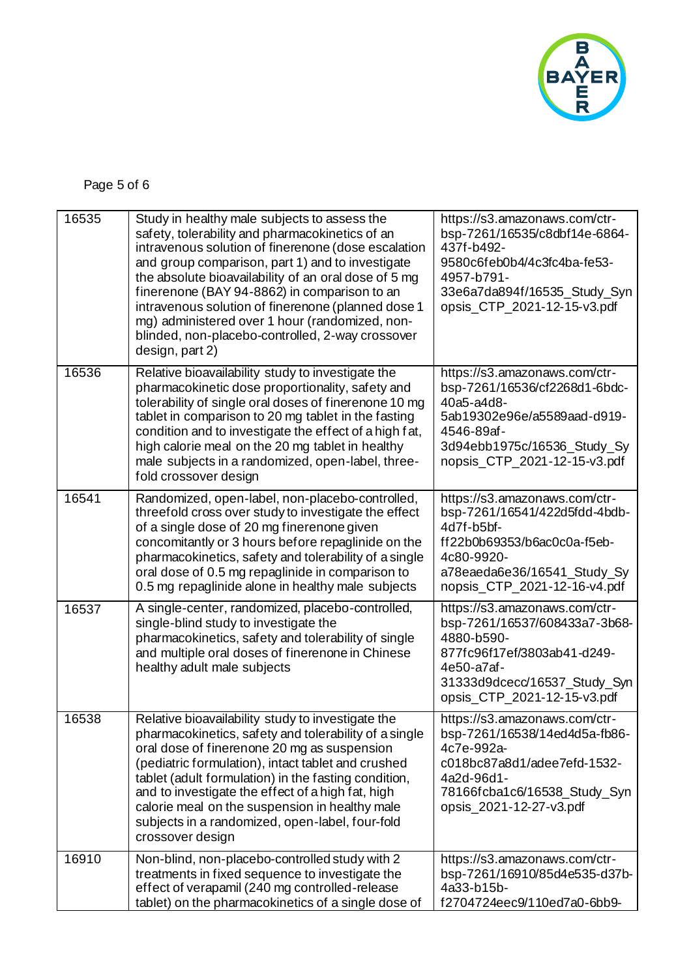

Page 5 of 6

| 16535 | Study in healthy male subjects to assess the<br>safety, tolerability and pharmacokinetics of an<br>intravenous solution of finerenone (dose escalation<br>and group comparison, part 1) and to investigate<br>the absolute bioavailability of an oral dose of 5 mg<br>finerenone (BAY 94-8862) in comparison to an<br>intravenous solution of finerenone (planned dose 1<br>mg) administered over 1 hour (randomized, non-<br>blinded, non-placebo-controlled, 2-way crossover<br>design, part 2) | https://s3.amazonaws.com/ctr-<br>bsp-7261/16535/c8dbf14e-6864-<br>437f-b492-<br>9580c6feb0b4/4c3fc4ba-fe53-<br>4957-b791-<br>33e6a7da894f/16535_Study_Syn<br>opsis_CTP_2021-12-15-v3.pdf |
|-------|---------------------------------------------------------------------------------------------------------------------------------------------------------------------------------------------------------------------------------------------------------------------------------------------------------------------------------------------------------------------------------------------------------------------------------------------------------------------------------------------------|------------------------------------------------------------------------------------------------------------------------------------------------------------------------------------------|
| 16536 | Relative bioavailability study to investigate the<br>pharmacokinetic dose proportionality, safety and<br>tolerability of single oral doses of finerenone 10 mg<br>tablet in comparison to 20 mg tablet in the fasting<br>condition and to investigate the effect of a high fat,<br>high calorie meal on the 20 mg tablet in healthy<br>male subjects in a randomized, open-label, three-<br>fold crossover design                                                                                 | https://s3.amazonaws.com/ctr-<br>bsp-7261/16536/cf2268d1-6bdc-<br>40a5-a4d8-<br>5ab19302e96e/a5589aad-d919-<br>4546-89af-<br>3d94ebb1975c/16536_Study_Sy<br>nopsis CTP 2021-12-15-v3.pdf |
| 16541 | Randomized, open-label, non-placebo-controlled,<br>threefold cross over study to investigate the effect<br>of a single dose of 20 mg finerenone given<br>concomitantly or 3 hours before repaglinide on the<br>pharmacokinetics, safety and tolerability of a single<br>oral dose of 0.5 mg repaglinide in comparison to<br>0.5 mg repaglinide alone in healthy male subjects                                                                                                                     | https://s3.amazonaws.com/ctr-<br>bsp-7261/16541/422d5fdd-4bdb-<br>4d7f-b5bf-<br>ff22b0b69353/b6ac0c0a-f5eb-<br>4c80-9920-<br>a78eaeda6e36/16541_Study_Sy<br>nopsis_CTP_2021-12-16-v4.pdf |
| 16537 | A single-center, randomized, placebo-controlled,<br>single-blind study to investigate the<br>pharmacokinetics, safety and tolerability of single<br>and multiple oral doses of finerenone in Chinese<br>healthy adult male subjects                                                                                                                                                                                                                                                               | https://s3.amazonaws.com/ctr-<br>bsp-7261/16537/608433a7-3b68-<br>4880-b590-<br>877fc96f17ef/3803ab41-d249-<br>4e50-a7af-<br>31333d9dcecc/16537_Study_Syn<br>opsis_CTP_2021-12-15-v3.pdf |
| 16538 | Relative bioavailability study to investigate the<br>pharmacokinetics, safety and tolerability of a single<br>oral dose of finerenone 20 mg as suspension<br>(pediatric formulation), intact tablet and crushed<br>tablet (adult formulation) in the fasting condition,<br>and to investigate the effect of a high fat, high<br>calorie meal on the suspension in healthy male<br>subjects in a randomized, open-label, four-fold<br>crossover design                                             | https://s3.amazonaws.com/ctr-<br>bsp-7261/16538/14ed4d5a-fb86-<br>4c7e-992a-<br>c018bc87a8d1/adee7efd-1532-<br>4a2d-96d1-<br>78166fcba1c6/16538_Study_Syn<br>opsis_2021-12-27-v3.pdf     |
| 16910 | Non-blind, non-placebo-controlled study with 2<br>treatments in fixed sequence to investigate the<br>effect of verapamil (240 mg controlled-release<br>tablet) on the pharmacokinetics of a single dose of                                                                                                                                                                                                                                                                                        | https://s3.amazonaws.com/ctr-<br>bsp-7261/16910/85d4e535-d37b-<br>4a33-b15b-<br>f2704724eec9/110ed7a0-6bb9-                                                                              |